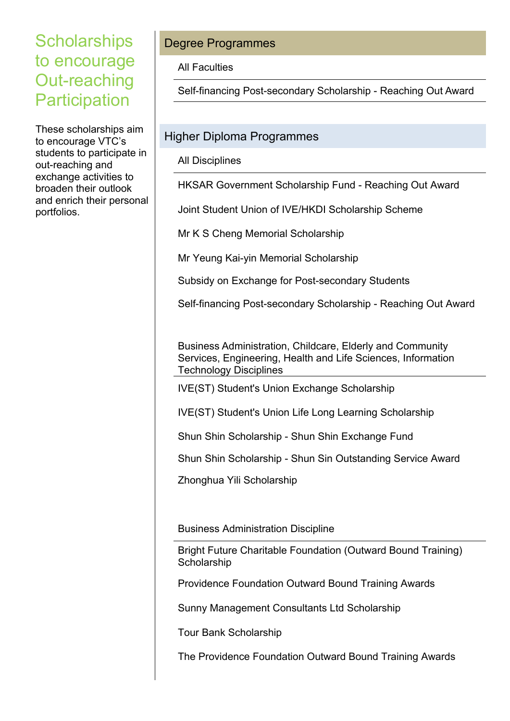## **Scholarships** to encourage Out-reaching **Participation**

These scholarships aim to encourage VTC's students to participate in out-reaching and exchange activities to broaden their outlook and enrich their personal portfolios.

## Degree Programmes

All Faculties

Self-financing Post-secondary Scholarship - Reaching Out Award

## Higher Diploma Programmes

All Disciplines

HKSAR Government Scholarship Fund - Reaching Out Award

Joint Student Union of IVE/HKDI Scholarship Scheme

Mr K S Cheng Memorial Scholarship

Mr Yeung Kai-yin Memorial Scholarship

Subsidy on Exchange for Post-secondary Students

Self-financing Post-secondary Scholarship - Reaching Out Award

 Business Administration, Childcare, Elderly and Community Services, Engineering, Health and Life Sciences, Information Technology Disciplines

IVE(ST) Student's Union Exchange Scholarship

IVE(ST) Student's Union Life Long Learning Scholarship

Shun Shin Scholarship - Shun Shin Exchange Fund

Shun Shin Scholarship - Shun Sin Outstanding Service Award

Zhonghua Yili Scholarship

Business Administration Discipline

Bright Future Charitable Foundation (Outward Bound Training) **Scholarship** 

Providence Foundation Outward Bound Training Awards

Sunny Management Consultants Ltd Scholarship

Tour Bank Scholarship

The Providence Foundation Outward Bound Training Awards